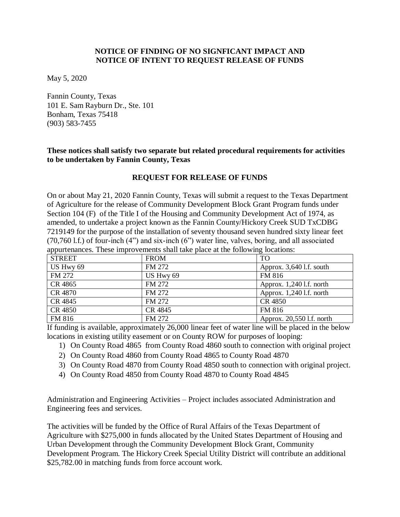## **NOTICE OF FINDING OF NO SIGNFICANT IMPACT AND NOTICE OF INTENT TO REQUEST RELEASE OF FUNDS**

May 5, 2020

Fannin County, Texas 101 E. Sam Rayburn Dr., Ste. 101 Bonham, Texas 75418 (903) 583-7455

### **These notices shall satisfy two separate but related procedural requirements for activities to be undertaken by Fannin County, Texas**

# **REQUEST FOR RELEASE OF FUNDS**

On or about May 21, 2020 Fannin County, Texas will submit a request to the Texas Department of Agriculture for the release of Community Development Block Grant Program funds under Section 104 (F) of the Title I of the Housing and Community Development Act of 1974, as amended, to undertake a project known as the Fannin County/Hickory Creek SUD TxCDBG 7219149 for the purpose of the installation of seventy thousand seven hundred sixty linear feet (70,760 l.f.) of four-inch (4") and six-inch (6") water line, valves, boring, and all associated appurtenances. These improvements shall take place at the following locations:

| <b>STREET</b> | <b>FROM</b> | <b>TO</b>                  |
|---------------|-------------|----------------------------|
| US Hwy 69     | FM 272      | Approx. 3,640 l.f. south   |
| FM 272        | US Hwy 69   | FM 816                     |
| CR 4865       | FM 272      | Approx. $1,240$ l.f. north |
| CR 4870       | FM 272      | Approx. $1,240$ l.f. north |
| CR 4845       | FM 272      | CR 4850                    |
| CR 4850       | CR 4845     | FM 816                     |
| FM 816        | FM 272      | Approx. 20,550 l.f. north  |

If funding is available, approximately 26,000 linear feet of water line will be placed in the below locations in existing utility easement or on County ROW for purposes of looping:

- 1) On County Road 4865 from County Road 4860 south to connection with original project
- 2) On County Road 4860 from County Road 4865 to County Road 4870
- 3) On County Road 4870 from County Road 4850 south to connection with original project.
- 4) On County Road 4850 from County Road 4870 to County Road 4845

Administration and Engineering Activities – Project includes associated Administration and Engineering fees and services.

The activities will be funded by the Office of Rural Affairs of the Texas Department of Agriculture with \$275,000 in funds allocated by the United States Department of Housing and Urban Development through the Community Development Block Grant, Community Development Program. The Hickory Creek Special Utility District will contribute an additional \$25,782.00 in matching funds from force account work.